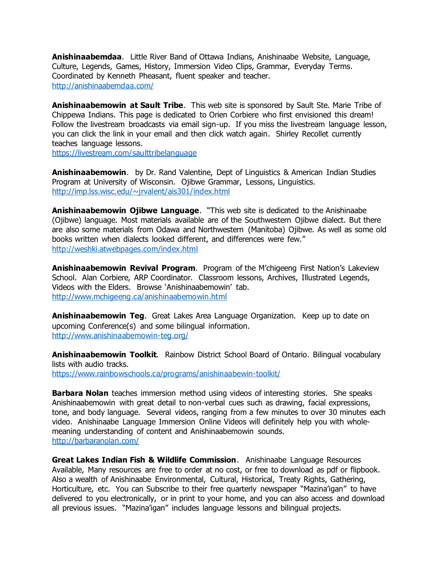**Anishinaabemdaa**. Little River Band of Ottawa Indians, Anishinaabe Website, Language, Culture, Legends, Games, History, Immersion Video Clips, Grammar, Everyday Terms. Coordinated by Kenneth Pheasant, fluent speaker and teacher. <http://anishinaabemdaa.com/>

**Anishinaabemowin at Sault Tribe**. This web site is sponsored by Sault Ste. Marie Tribe of Chippewa Indians. This page is dedicated to Orien Corbiere who first envisioned this dream! Follow the livestream broadcasts via email sign-up. If you miss the livestream language lesson, you can click the link in your email and then click watch again. Shirley Recollet currently teaches language lessons.

<https://livestream.com/saulttribelanguage>

**Anishinaabemowin**. by Dr. Rand Valentine, Dept of Linguistics & American Indian Studies Program at University of Wisconsin. Ojibwe Grammar, Lessons, Linguistics. <http://imp.lss.wisc.edu/~jrvalent/ais301/index.html>

**Anishinaabemowin Ojibwe Language**. "This web site is dedicated to the Anishinaabe (Ojibwe) language. Most materials available are of the Southwestern Ojibwe dialect. But there are also some materials from Odawa and Northwestern (Manitoba) Ojibwe. As well as some old books written when dialects looked different, and differences were few." <http://weshki.atwebpages.com/index.html>

**Anishinaabemowin Revival Program**. Program of the M'chigeeng First Nation's Lakeview School. Alan Corbiere, ARP Coordinator. Classroom lessons, Archives, Illustrated Legends, Videos with the Elders. Browse 'Anishinaabemowin' tab. <http://www.mchigeeng.ca/anishinaabemowin.html>

**Anishinaabemowin Teg**. Great Lakes Area Language Organization. Keep up to date on upcoming Conference(s) and some bilingual information. <http://www.anishinaabemowin-teg.org/>

**Anishinaabemowin Toolkit**. Rainbow District School Board of Ontario. Bilingual vocabulary lists with audio tracks. <https://www.rainbowschools.ca/programs/anishinaabewin-toolkit/>

**Barbara Nolan** teaches immersion method using videos of interesting stories. She speaks Anishinaabemowin with great detail to non-verbal cues such as drawing, facial expressions, tone, and body language. Several videos, ranging from a few minutes to over 30 minutes each video. Anishinaabe Language Immersion Online Videos will definitely help you with wholemeaning understanding of content and Anishinaabemowin sounds. <http://barbaranolan.com/>

**Great Lakes Indian Fish & Wildlife Commission**. Anishinaabe Language Resources Available, Many resources are free to order at no cost, or free to download as pdf or flipbook. Also a wealth of Anishinaabe Environmental, Cultural, Historical, Treaty Rights, Gathering, Horticulture, etc. You can Subscribe to their free quarterly newspaper "Mazina'igan" to have delivered to you electronically, or in print to your home, and you can also access and download all previous issues. "Mazina'igan" includes language lessons and bilingual projects.